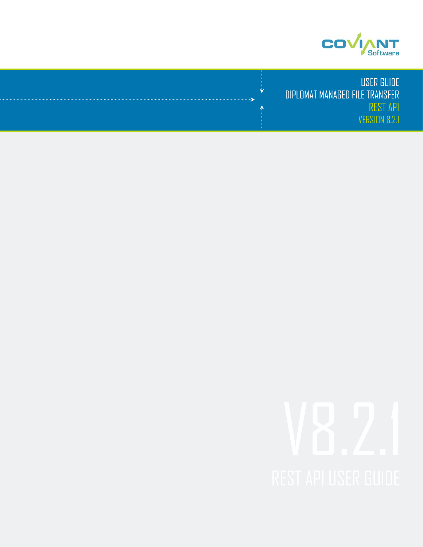

USER GUIDE DIPLOMAT MANAGED FILE TRANSFER REST API VERSION 8.2.1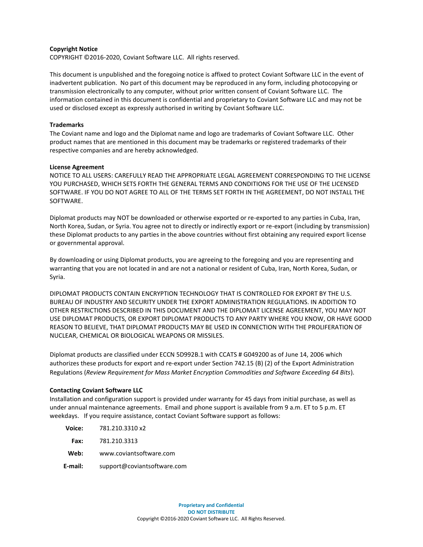#### **Copyright Notice**

COPYRIGHT ©2016-2020, Coviant Software LLC. All rights reserved.

This document is unpublished and the foregoing notice is affixed to protect Coviant Software LLC in the event of inadvertent publication. No part of this document may be reproduced in any form, including photocopying or transmission electronically to any computer, without prior written consent of Coviant Software LLC. The information contained in this document is confidential and proprietary to Coviant Software LLC and may not be used or disclosed except as expressly authorised in writing by Coviant Software LLC.

### **Trademarks**

The Coviant name and logo and the Diplomat name and logo are trademarks of Coviant Software LLC. Other product names that are mentioned in this document may be trademarks or registered trademarks of their respective companies and are hereby acknowledged.

### **License Agreement**

NOTICE TO ALL USERS: CAREFULLY READ THE APPROPRIATE LEGAL AGREEMENT CORRESPONDING TO THE LICENSE YOU PURCHASED, WHICH SETS FORTH THE GENERAL TERMS AND CONDITIONS FOR THE USE OF THE LICENSED SOFTWARE. IF YOU DO NOT AGREE TO ALL OF THE TERMS SET FORTH IN THE AGREEMENT, DO NOT INSTALL THE SOFTWARE.

Diplomat products may NOT be downloaded or otherwise exported or re-exported to any parties in Cuba, Iran, North Korea, Sudan, or Syria. You agree not to directly or indirectly export or re-export (including by transmission) these Diplomat products to any parties in the above countries without first obtaining any required export license or governmental approval.

By downloading or using Diplomat products, you are agreeing to the foregoing and you are representing and warranting that you are not located in and are not a national or resident of Cuba, Iran, North Korea, Sudan, or Syria.

DIPLOMAT PRODUCTS CONTAIN ENCRYPTION TECHNOLOGY THAT IS CONTROLLED FOR EXPORT BY THE U.S. BUREAU OF INDUSTRY AND SECURITY UNDER THE EXPORT ADMINISTRATION REGULATIONS. IN ADDITION TO OTHER RESTRICTIONS DESCRIBED IN THIS DOCUMENT AND THE DIPLOMAT LICENSE AGREEMENT, YOU MAY NOT USE DIPLOMAT PRODUCTS, OR EXPORT DIPLOMAT PRODUCTS TO ANY PARTY WHERE YOU KNOW, OR HAVE GOOD REASON TO BELIEVE, THAT DIPLOMAT PRODUCTS MAY BE USED IN CONNECTION WITH THE PROLIFERATION OF NUCLEAR, CHEMICAL OR BIOLOGICAL WEAPONS OR MISSILES.

Diplomat products are classified under ECCN 5D992B.1 with CCATS # G049200 as of June 14, 2006 which authorizes these products for export and re-export under Section 742.15 (B) (2) of the Export Administration Regulations (*Review Requirement for Mass Market Encryption Commodities and Software Exceeding 64 Bits*).

#### **Contacting Coviant Software LLC**

Installation and configuration support is provided under warranty for 45 days from initial purchase, as well as under annual maintenance agreements. Email and phone support is available from 9 a.m. ET to 5 p.m. ET weekdays. If you require assistance, contact Coviant Software support as follows:

| Voice:  | 781.210.3310 x2             |
|---------|-----------------------------|
| Fax:    | 781.210.3313                |
| Web:    | www.coviantsoftware.com     |
| E-mail: | support@coviantsoftware.com |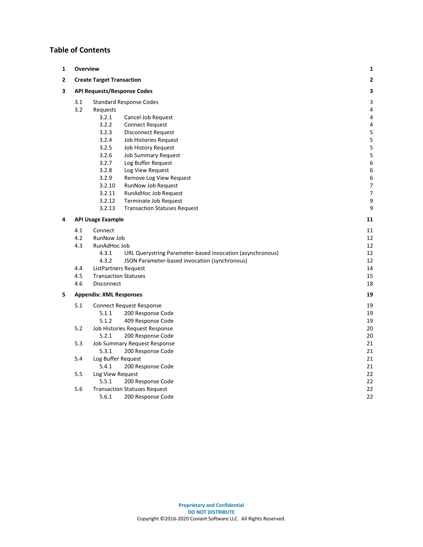### **Table of Contents**

| 1                                                | <b>Overview</b><br>1                 |                                    |                                                           |    |
|--------------------------------------------------|--------------------------------------|------------------------------------|-----------------------------------------------------------|----|
| $\mathbf{2}$<br><b>Create Target Transaction</b> |                                      |                                    | 2                                                         |    |
| 3                                                |                                      | <b>API Requests/Response Codes</b> |                                                           |    |
|                                                  | 3.1                                  |                                    | <b>Standard Response Codes</b>                            | 3  |
|                                                  | 3.2                                  | Requests                           |                                                           | 4  |
|                                                  |                                      | 3.2.1                              | Cancel Job Request                                        | 4  |
|                                                  |                                      | 3.2.2                              | <b>Connect Request</b>                                    | 4  |
|                                                  |                                      | 3.2.3                              | <b>Disconnect Request</b>                                 | 5  |
|                                                  |                                      | 3.2.4                              | Job Histories Request                                     | 5  |
|                                                  |                                      | 3.2.5                              | <b>Job History Request</b>                                | 5  |
|                                                  |                                      | 3.2.6                              | <b>Job Summary Request</b>                                | 5  |
|                                                  |                                      | 3.2.7                              | Log Buffer Request                                        | 6  |
|                                                  |                                      | 3.2.8                              | Log View Request                                          | 6  |
|                                                  |                                      | 3.2.9                              | Remove Log View Request                                   | 6  |
|                                                  |                                      | 3.2.10                             | RunNow Job Request                                        | 7  |
|                                                  |                                      | 3.2.11                             | RunAdHoc Job Request                                      | 7  |
|                                                  |                                      | 3.2.12                             | Terminate Job Request                                     | 9  |
|                                                  |                                      | 3.2.13                             | <b>Transaction Statuses Request</b>                       | 9  |
| 4                                                | <b>API Usage Example</b>             |                                    | 11                                                        |    |
|                                                  | 4.1                                  | Connect                            |                                                           | 11 |
|                                                  | 4.2                                  | RunNow Job                         |                                                           | 12 |
|                                                  | 4.3                                  | RunAdHoc Job                       |                                                           | 12 |
|                                                  |                                      | 4.3.1                              | URL Querystring Parameter-based invocation (asynchronous) | 12 |
|                                                  |                                      | 4.3.2                              | JSON Parameter-based invocation (synchronous)             | 12 |
|                                                  | 4.4                                  |                                    | ListPartners Request                                      | 14 |
|                                                  | 4.5<br><b>Transaction Statuses</b>   |                                    |                                                           | 15 |
|                                                  | 4.6                                  | <b>Disconnect</b>                  |                                                           | 18 |
| 5.                                               | 19<br><b>Appendix: XML Responses</b> |                                    |                                                           |    |
|                                                  | 5.1                                  |                                    | <b>Connect Request Response</b>                           | 19 |
|                                                  |                                      | 5.1.1                              | 200 Response Code                                         | 19 |
|                                                  |                                      | 5.1.2                              | 409 Response Code                                         | 19 |
|                                                  | $5.2$                                |                                    | Job Histories Request Response                            | 20 |
|                                                  |                                      | 5.2.1                              | 200 Response Code                                         | 20 |
|                                                  | 5.3                                  |                                    | Job Summary Request Response                              | 21 |
|                                                  |                                      | 5.3.1                              | 200 Response Code                                         | 21 |
|                                                  | 5.4                                  | Log Buffer Request                 |                                                           | 21 |
|                                                  |                                      | 5.4.1                              | 200 Response Code                                         | 21 |
|                                                  | 5.5                                  | Log View Request                   |                                                           | 22 |
|                                                  |                                      | 5.5.1                              | 200 Response Code                                         | 22 |
|                                                  | 5.6                                  |                                    | <b>Transaction Statuses Request</b>                       | 22 |
|                                                  |                                      | 5.6.1                              | 200 Response Code                                         | 22 |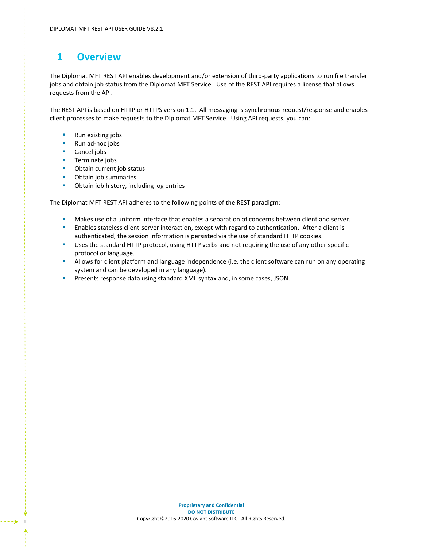# <span id="page-3-0"></span>**1 Overview**

The Diplomat MFT REST API enables development and/or extension of third-party applications to run file transfer jobs and obtain job status from the Diplomat MFT Service. Use of the REST API requires a license that allows requests from the API.

The REST API is based on HTTP or HTTPS version 1.1. All messaging is synchronous request/response and enables client processes to make requests to the Diplomat MFT Service. Using API requests, you can:

- Run existing jobs
- Run ad-hoc jobs
- Cancel jobs
- **■** Terminate jobs
- Obtain current job status
- Obtain job summaries
- Obtain job history, including log entries

The Diplomat MFT REST API adheres to the following points of the REST paradigm:

- **■** Makes use of a uniform interface that enables a separation of concerns between client and server.
- **E** Enables stateless client-server interaction, except with regard to authentication. After a client is authenticated, the session information is persisted via the use of standard HTTP cookies.
- **■** Uses the standard HTTP protocol, using HTTP verbs and not requiring the use of any other specific protocol or language.
- **EXEDENT Allows for client platform and language independence (i.e. the client software can run on any operating** system and can be developed in any language).
- **Presents response data using standard XML syntax and, in some cases, JSON.**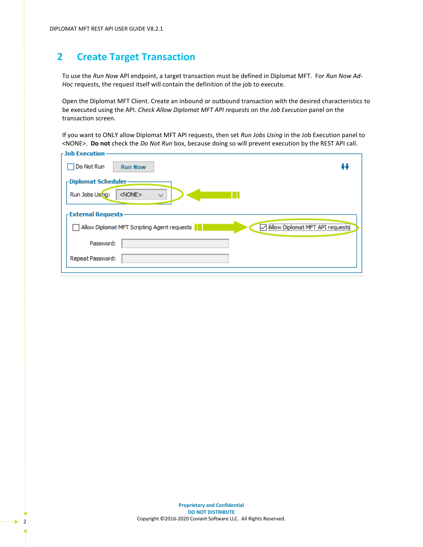# <span id="page-4-0"></span>**2 Create Target Transaction**

To use the *Run Now* API endpoint, a target transaction must be defined in Diplomat MFT. For *Run Now Ad-Hoc* requests, the request itself will contain the definition of the job to execute.

Open the Diplomat MFT Client. Create an inbound or outbound transaction with the desired characteristics to be executed using the API. *Check Allow Diplomat MFT API requests* on the *Job Execution* panel on the transaction screen.

If you want to ONLY allow Diplomat MFT API requests, then set *Run Jobs Using* in the Job Execution panel to <NONE>. **Do not** check the *Do Not Run* box, because doing so will prevent execution by the REST API call.

| <b>Job Execution-</b>                                                          |  |  |  |
|--------------------------------------------------------------------------------|--|--|--|
| Do Not Run<br><b>Run Now</b>                                                   |  |  |  |
| r Diplomat Scheduler-                                                          |  |  |  |
| Run Jobs Using:<br>$<$ NONE $>$<br>$\checkmark$                                |  |  |  |
| <b>External Requests</b>                                                       |  |  |  |
| Allow Diplomat MFT API requests<br>Allow Diplomat MFT Scripting Agent requests |  |  |  |
| Password:                                                                      |  |  |  |
| Repeat Password:                                                               |  |  |  |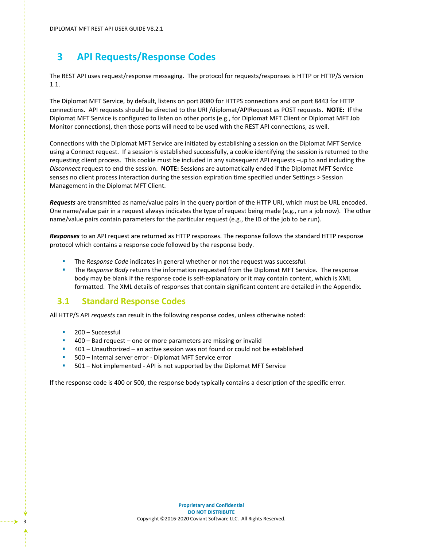# <span id="page-5-0"></span>**3 API Requests/Response Codes**

The REST API uses request/response messaging. The protocol for requests/responses is HTTP or HTTP/S version 1.1.

The Diplomat MFT Service, by default, listens on port 8080 for HTTPS connections and on port 8443 for HTTP connections. API requests should be directed to the URI /diplomat/APIRequest as POST requests. **NOTE:** If the Diplomat MFT Service is configured to listen on other ports (e.g., for Diplomat MFT Client or Diplomat MFT Job Monitor connections), then those ports will need to be used with the REST API connections, as well.

Connections with the Diplomat MFT Service are initiated by establishing a session on the Diplomat MFT Service using a Connect request. If a session is established successfully, a cookie identifying the session is returned to the requesting client process. This cookie must be included in any subsequent API requests –up to and including the *Disconnect* request to end the session. **NOTE:** Sessions are automatically ended if the Diplomat MFT Service senses no client process interaction during the session expiration time specified under Settings > Session Management in the Diplomat MFT Client.

*Requests* are transmitted as name/value pairs in the query portion of the HTTP URI, which must be URL encoded. One name/value pair in a request always indicates the type of request being made (e.g., run a job now). The other name/value pairs contain parameters for the particular request (e.g., the ID of the job to be run).

*Responses* to an API request are returned as HTTP responses. The response follows the standard HTTP response protocol which contains a response code followed by the response body.

- The *Response Code* indicates in general whether or not the request was successful.
- **EXP** The *Response Body* returns the information requested from the Diplomat MFT Service. The response body may be blank if the response code is self-explanatory or it may contain content, which is XML formatted. The XML details of responses that contain significant content are detailed in the Appendix.

### <span id="page-5-1"></span>**3.1 Standard Response Codes**

All HTTP/S API *request*s can result in the following response codes, unless otherwise noted:

- 200 Successful
- 400 Bad request one or more parameters are missing or invalid
- 401 Unauthorized an active session was not found or could not be established
- 500 Internal server error Diplomat MFT Service error
- 501 Not implemented API is not supported by the Diplomat MFT Service

If the response code is 400 or 500, the response body typically contains a description of the specific error.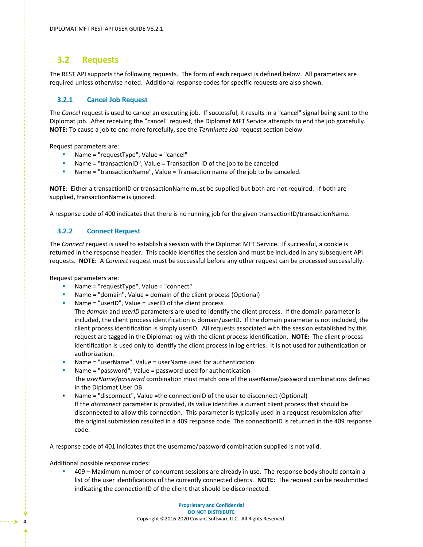### <span id="page-6-0"></span>**3.2 Requests**

The REST API supports the following requests. The form of each request is defined below. All parameters are required unless otherwise noted. Additional response codes for specific requests are also shown.

### <span id="page-6-1"></span>**3.2.1 Cancel Job Request**

The *Cancel* request is used to cancel an executing job. If successful, it results in a "cancel" signal being sent to the Diplomat job. After receiving the "cancel" request, the Diplomat MFT Service attempts to end the job gracefully. **NOTE:** To cause a job to end more forcefully, see the *Terminate Job* request section below.

Request parameters are:

- Name = "requestType", Value = "cancel"
- Name = "transactionID", Value = Transaction ID of the job to be canceled
- Name = "transactionName", Value = Transaction name of the job to be canceled.

**NOTE**: Either a transactionID or transactionName must be supplied but both are not required. If both are supplied, transactionName is ignored.

<span id="page-6-2"></span>A response code of 400 indicates that there is no running job for the given transactionID/transactionName.

### **3.2.2 Connect Request**

The *Connect* request is used to establish a session with the Diplomat MFT Service. If successful, a cookie is returned in the response header. This cookie identifies the session and must be included in any subsequent API requests. **NOTE:** A *Connect* request must be successful before any other request can be processed successfully.

Request parameters are:

- Name = "requestType", Value = "connect"
- Name = "domain", Value = domain of the client process (Optional)
- Name = "userID", Value = userID of the client process
- The *domain* and *userID* parameters are used to identify the client process. If the domain parameter is included, the client process identification is domain/userID. If the domain parameter is not included, the client process identification is simply userID. All requests associated with the session established by this request are tagged in the Diplomat log with the client process identification. **NOTE:** The client process identification is used only to identify the client process in log entries. It is not used for authentication or authorization.
- Name = "userName", Value = userName used for authentication
- Name  $=$  "password", Value  $=$  password used for authentication The *userName/password* combination must match one of the userName/password combinations defined in the Diplomat User DB.
- Name = "disconnect", Value =the connectionID of the user to disconnect (Optional) If the *disconnect* parameter is provided, its value identifies a current client process that should be disconnected to allow this connection. This parameter is typically used in a request resubmission after the original submission resulted in a 409 response code. The connectionID is returned in the 409 response code.

A response code of 401 indicates that the username/password combination supplied is not valid.

Additional possible response codes:

409 – Maximum number of concurrent sessions are already in use. The response body should contain a list of the user identifications of the currently connected clients. **NOTE:** The request can be resubmitted indicating the connectionID of the client that should be disconnected.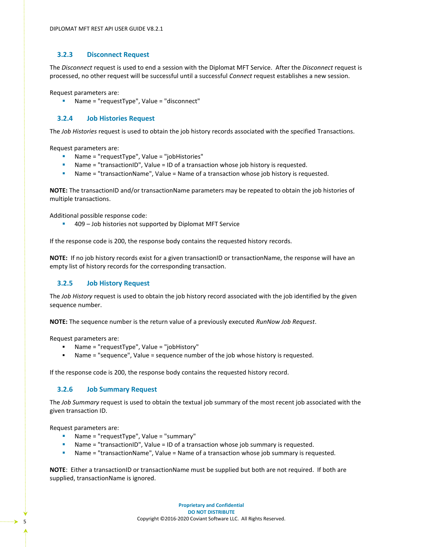### <span id="page-7-0"></span>**3.2.3 Disconnect Request**

The *Disconnect* request is used to end a session with the Diplomat MFT Service. After the *Disconnect* request is processed, no other request will be successful until a successful *Connect* request establishes a new session.

Request parameters are:

Name = "requestType", Value = "disconnect"

### <span id="page-7-1"></span>**3.2.4 Job Histories Request**

The *Job Histories* request is used to obtain the job history records associated with the specified Transactions.

Request parameters are:

- Name = "requestType", Value = "jobHistories"
- Name = "transactionID", Value = ID of a transaction whose job history is requested.
- Name = "transactionName", Value = Name of a transaction whose job history is requested.

**NOTE:** The transactionID and/or transactionName parameters may be repeated to obtain the job histories of multiple transactions.

Additional possible response code:

▪ 409 – Job histories not supported by Diplomat MFT Service

If the response code is 200, the response body contains the requested history records.

**NOTE:** If no job history records exist for a given transactionID or transactionName, the response will have an empty list of history records for the corresponding transaction.

#### <span id="page-7-2"></span>**3.2.5 Job History Request**

The *Job History* request is used to obtain the job history record associated with the job identified by the given sequence number.

**NOTE:** The sequence number is the return value of a previously executed *RunNow Job Request*.

Request parameters are:

- Name = "requestType", Value = "jobHistory"
- Name = "sequence", Value = sequence number of the job whose history is requested.

<span id="page-7-3"></span>If the response code is 200, the response body contains the requested history record.

### **3.2.6 Job Summary Request**

The *Job Summary* request is used to obtain the textual job summary of the most recent job associated with the given transaction ID.

Request parameters are:

- Name = "requestType", Value = "summary"
- Name = "transactionID", Value = ID of a transaction whose job summary is requested.
- Name = "transactionName", Value = Name of a transaction whose job summary is requested.

**NOTE**: Either a transactionID or transactionName must be supplied but both are not required. If both are supplied, transactionName is ignored.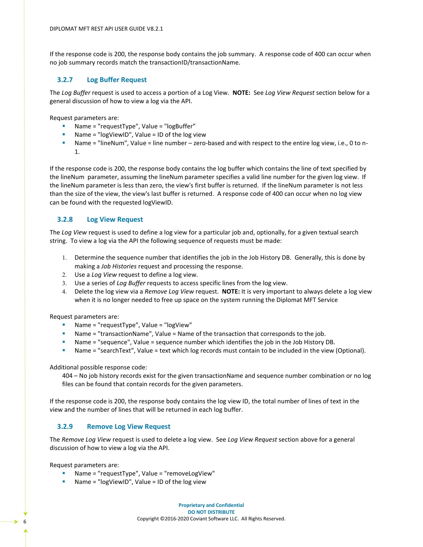If the response code is 200, the response body contains the job summary. A response code of 400 can occur when no job summary records match the transactionID/transactionName.

### <span id="page-8-0"></span>**3.2.7 Log Buffer Request**

The *Log Buffer* request is used to access a portion of a Log View. **NOTE:** See *Log View Request* section below for a general discussion of how to view a log via the API.

Request parameters are:

- Name = "requestType", Value = "logBuffer"
- Name = " $logViewID$ ", Value = ID of the log view
- Name = "lineNum", Value = line number zero-based and with respect to the entire log view, i.e., 0 to n-1.

If the response code is 200, the response body contains the log buffer which contains the line of text specified by the lineNum parameter, assuming the lineNum parameter specifies a valid line number for the given log view. If the lineNum parameter is less than zero, the view's first buffer is returned. If the lineNum parameter is not less than the size of the view, the view's last buffer is returned. A response code of 400 can occur when no log view can be found with the requested logViewID.

### <span id="page-8-1"></span>**3.2.8 Log View Request**

The *Log View* request is used to define a log view for a particular job and, optionally, for a given textual search string. To view a log via the API the following sequence of requests must be made:

- Determine the sequence number that identifies the job in the Job History DB. Generally, this is done by making a *Job Histories* request and processing the response.
- Use a *Log View* request to define a log view.
- Use a series of *Log Buffer* requests to access specific lines from the log view.
- Delete the log view via a *Remove Log View* request. **NOTE:** It is very important to always delete a log view when it is no longer needed to free up space on the system running the Diplomat MFT Service

Request parameters are:

- Name = "requestType", Value = "logView"
- Name = "transactionName", Value = Name of the transaction that corresponds to the job.
- **•** Name = "sequence", Value = sequence number which identifies the job in the Job History DB.
- Name = "searchText", Value = text which log records must contain to be included in the view (Optional).

Additional possible response code:

404 – No job history records exist for the given transactionName and sequence number combination or no log files can be found that contain records for the given parameters.

If the response code is 200, the response body contains the log view ID, the total number of lines of text in the view and the number of lines that will be returned in each log buffer.

### <span id="page-8-2"></span>**3.2.9 Remove Log View Request**

The *Remove Log View* request is used to delete a log view. See *Log View Request* section above for a general discussion of how to view a log via the API.

Request parameters are:

- Name = "requestType", Value = "removeLogView"
- Name = "logViewID", Value = ID of the log view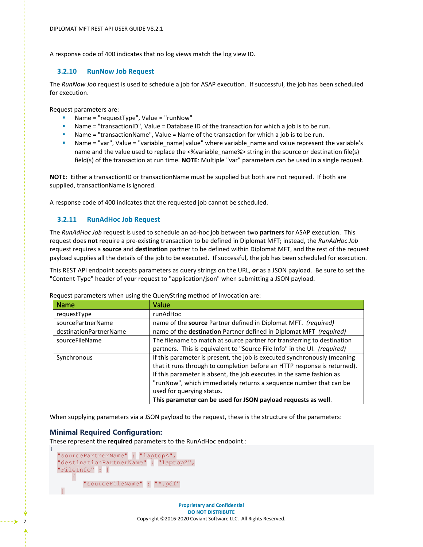<span id="page-9-0"></span>A response code of 400 indicates that no log views match the log view ID.

#### **3.2.10 RunNow Job Request**

The *RunNow Job* request is used to schedule a job for ASAP execution. If successful, the job has been scheduled for execution.

Request parameters are:

- Name = "requestType", Value = "runNow"
- Name = "transactionID", Value = Database ID of the transaction for which a job is to be run.
- Name = "transactionName", Value = Name of the transaction for which a job is to be run.
- Name = "var", Value = "variable\_name | value" where variable\_name and value represent the variable's name and the value used to replace the <%variable name%> string in the source or destination file(s) field(s) of the transaction at run time. **NOTE**: Multiple "var" parameters can be used in a single request.

**NOTE**: Either a transactionID or transactionName must be supplied but both are not required. If both are supplied, transactionName is ignored.

<span id="page-9-1"></span>A response code of 400 indicates that the requested job cannot be scheduled.

### **3.2.11 RunAdHoc Job Request**

The *RunAdHoc Job* request is used to schedule an ad-hoc job between two **partners** for ASAP execution. This request does **not** require a pre-existing transaction to be defined in Diplomat MFT; instead, the *RunAdHoc Job*  request requires a **source** and **destination** partner to be defined within Diplomat MFT, and the rest of the request payload supplies all the details of the job to be executed. If successful, the job has been scheduled for execution.

This REST API endpoint accepts parameters as query strings on the URL, *or* as a JSON payload. Be sure to set the "Content-Type" header of your request to "application/json" when submitting a JSON payload.

| Name                   | Value                                                                                                                                                                                                                                                                                                                                                                                           |
|------------------------|-------------------------------------------------------------------------------------------------------------------------------------------------------------------------------------------------------------------------------------------------------------------------------------------------------------------------------------------------------------------------------------------------|
| requestType            | runAdHoc                                                                                                                                                                                                                                                                                                                                                                                        |
| sourcePartnerName      | name of the source Partner defined in Diplomat MFT. (required)                                                                                                                                                                                                                                                                                                                                  |
| destinationPartnerName | name of the destination Partner defined in Diplomat MFT (required)                                                                                                                                                                                                                                                                                                                              |
| sourceFileName         | The filename to match at source partner for transferring to destination<br>partners. This is equivalent to "Source File Info" in the UI. (required)                                                                                                                                                                                                                                             |
| Synchronous            | If this parameter is present, the job is executed synchronously (meaning<br>that it runs through to completion before an HTTP response is returned).<br>If this parameter is absent, the job executes in the same fashion as<br>"runNow", which immediately returns a sequence number that can be<br>used for querying status.<br>This parameter can be used for JSON payload requests as well. |

Request parameters when using the QueryString method of invocation are:

When supplying parameters via a JSON payload to the request, these is the structure of the parameters:

#### **Minimal Required Configuration:**

These represent the **required** parameters to the RunAdHoc endpoint.:

```
 "sourcePartnerName" : "laptopA",
   "destinationPartnerName" : "laptopZ",
   "FileInfo" : [
 {
          "sourceFileName" : "*.pdf"
\blacksquare
```
{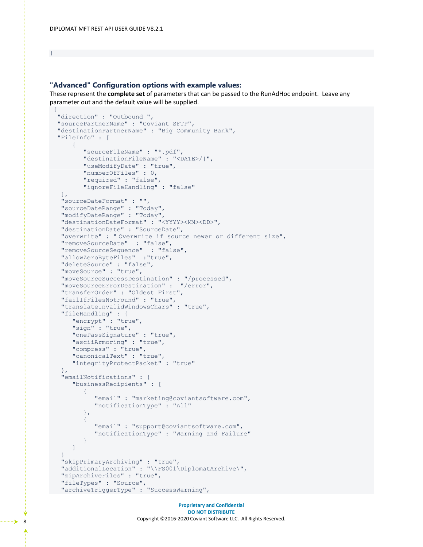#### }

### **"Advanced" Configuration options with example values:**

These represent the **complete set** of parameters that can be passed to the RunAdHoc endpoint. Leave any parameter out and the default value will be supplied.

```
{ 
   "direction" : "Outbound ",
  "sourcePartnerName" : "Coviant SFTP",
  "destinationPartnerName" : "Big Community Bank",
  "FileInfo" : [
     \{ "sourceFileName" : "*.pdf",
          "destinationFileName" : "<DATE>/|",
          "useModifyDate" : "true",
          "numberOfFiles" : 0,
          "required" : "false",
          "ignoreFileHandling" : "false"
  \frac{1}{\sqrt{2}} "sourceDateFormat" : "",
   "sourceDateRange" : "Today",
   "modifyDateRange" : "Today",
   "destinationDateFormat" : "<YYYY><MM><DD>",
   "destinationDate" : "SourceDate",
   "overwrite" : " Overwrite if source newer or different size",
   "removeSourceDate" : "false",
   "removeSourceSequence" : "false",
   "allowZeroByteFiles" :"true",
   "deleteSource" : "false",
   "moveSource" : "true",
   "moveSourceSuccessDestination" : "/processed",
   "moveSourceErrorDestination" : "/error",
   "transferOrder" : "Oldest First",
   "failIfFilesNotFound" : "true",
   "translateInvalidWindowsChars" : "true",
   "fileHandling" : {
      "encrypt" : "true",
      "sign" : "true",
      "onePassSignature" : "true",
      "asciiArmoring" : "true",
      "compress" : "true",
      "canonicalText" : "true",
      "integrityProtectPacket" : "true"
   },
   "emailNotifications" : {
       "businessRecipients" : [
\{ "email" : "marketing@coviantsoftware.com",
             "notificationType" : "All"
          },
\{ "email" : "support@coviantsoftware.com",
             "notificationType" : "Warning and Failure"
          }
       ]
 }
   "skipPrimaryArchiving" : "true",
   "additionalLocation" : "\\FS001\DiplomatArchive\",
   "zipArchiveFiles" : "true",
   "fileTypes" : "Source",
   "archiveTriggerType" : "SuccessWarning",
```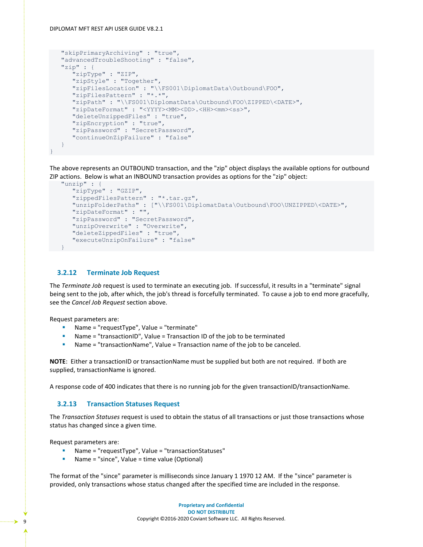#### DIPLOMAT MFT REST API USER GUIDE V8.2.1

```
 "skipPrimaryArchiving" : "true",
   "advancedTroubleShooting" : "false",
   "zip" : {
      "zipType" : "ZIP",
      "zipStyle" : "Together",
      "zipFilesLocation" : "\\FS001\DiplomatData\Outbound\FOO",
      "zipFilesPattern" : "*.*",
      "zipPath" : "\\FS001\DiplomatData\Outbound\FOO\ZIPPED\<DATE>",
     "zipDateFormat" : "<YYYY><MM><DD>.<HH><mm><ss>",
      "deleteUnzippedFiles" : "true",
 "zipEncryption" : "true",
 "zipPassword" : "SecretPassword",
      "continueOnZipFailure" : "false"
   }
```
The above represents an OUTBOUND transaction, and the "zip" object displays the available options for outbound ZIP actions. Below is what an INBOUND transaction provides as options for the "zip" object:

```
 "unzip" : {
      "zipType" : "GZIP",
      "zippedFilesPattern" : "*.tar.gz",
      "unzipFolderPaths" : ["\\FS001\DiplomatData\Outbound\FOO\UNZIPPED\<DATE>",
       "zipDateFormat" : "",
       "zipPassword" : "SecretPassword",
      "unzipOverwrite" : "Overwrite",
      "deleteZippedFiles" : "true",
      "executeUnzipOnFailure" : "false"
 }
```
#### <span id="page-11-0"></span>**3.2.12 Terminate Job Request**

The *Terminate Job* request is used to terminate an executing job. If successful, it results in a "terminate" signal being sent to the job, after which, the job's thread is forcefully terminated. To cause a job to end more gracefully, see the *Cancel Job Request* section above.

Request parameters are:

}

- Name = "requestType", Value = "terminate"
- Name = "transactionID", Value = Transaction ID of the job to be terminated
- Name = "transactionName", Value = Transaction name of the job to be canceled.

**NOTE**: Either a transactionID or transactionName must be supplied but both are not required. If both are supplied, transactionName is ignored.

<span id="page-11-1"></span>A response code of 400 indicates that there is no running job for the given transactionID/transactionName.

#### **3.2.13 Transaction Statuses Request**

The *Transaction Statuses* request is used to obtain the status of all transactions or just those transactions whose status has changed since a given time.

Request parameters are:

- Name = "requestType", Value = "transactionStatuses"
- Name = "since", Value = time value (Optional)

The format of the "since" parameter is milliseconds since January 1 1970 12 AM. If the "since" parameter is provided, only transactions whose status changed after the specified time are included in the response.

Ą,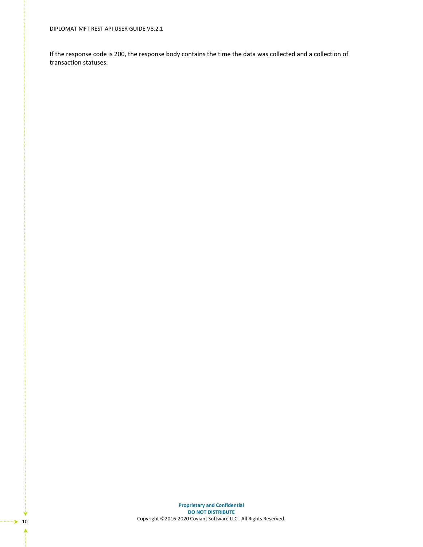DIPLOMAT MFT REST API USER GUIDE V8.2.1

If the response code is 200, the response body contains the time the data was collected and a collection of transaction statuses.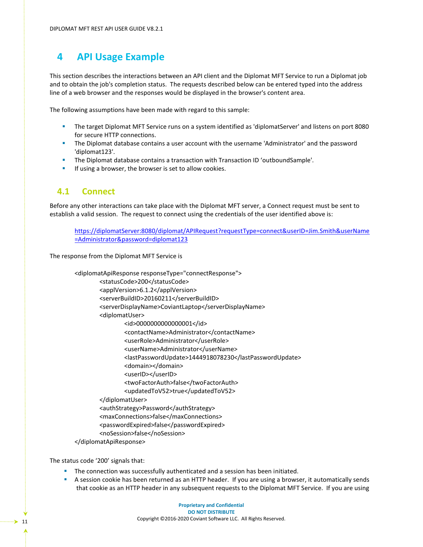# <span id="page-13-0"></span>**4 API Usage Example**

This section describes the interactions between an API client and the Diplomat MFT Service to run a Diplomat job and to obtain the job's completion status. The requests described below can be entered typed into the address line of a web browser and the responses would be displayed in the browser's content area.

The following assumptions have been made with regard to this sample:

- **EXECT The target Diplomat MFT Service runs on a system identified as 'diplomatServer' and listens on port 8080** for secure HTTP connections.
- **•** The Diplomat database contains a user account with the username 'Administrator' and the password 'diplomat123'.
- The Diplomat database contains a transaction with Transaction ID 'outboundSample'.
- **·** If using a browser, the browser is set to allow cookies.

### <span id="page-13-1"></span>**4.1 Connect**

Before any other interactions can take place with the Diplomat MFT server, a Connect request must be sent to establish a valid session. The request to connect using the credentials of the user identified above is:

[https://diplomatServer:8080/diplomat/APIRequest?requestType=connect&userID=Jim.Smith&userName](https://diplomatserver:8080/diplomat/APIRequest?requestType=connect&userID=Jim.Smith&userName=Jim&password=diplomat) [=Administrator&password=diplomat123](https://diplomatserver:8080/diplomat/APIRequest?requestType=connect&userID=Jim.Smith&userName=Jim&password=diplomat)

The response from the Diplomat MFT Service is

| <diplomatapiresponse responsetype="connectResponse"></diplomatapiresponse> |
|----------------------------------------------------------------------------|
| <statuscode>200</statuscode>                                               |
| <applversion>6.1.2</applversion>                                           |
| <serverbuildid>20160211</serverbuildid>                                    |
| <serverdisplayname>CoviantLaptop</serverdisplayname>                       |
| <diplomatuser></diplomatuser>                                              |
| <id>0000000000000001</id>                                                  |
| <contactname>Administrator</contactname>                                   |
| <userrole>Administrator</userrole>                                         |
| <username>Administrator</username>                                         |
| <lastpasswordupdate>1444918078230</lastpasswordupdate>                     |
| <domain></domain>                                                          |
| <userid></userid>                                                          |
| <twofactorauth>false</twofactorauth>                                       |
| <updatedtov52>true</updatedtov52>                                          |
|                                                                            |
| <authstrategy>Password</authstrategy>                                      |
| <maxconnections>false</maxconnections>                                     |
| <passwordexpired>false</passwordexpired>                                   |
| <nosession>false</nosession>                                               |
|                                                                            |

The status code '200' signals that:

- **·** The connection was successfully authenticated and a session has been initiated.
- A session cookie has been returned as an HTTP header. If you are using a browser, it automatically sends that cookie as an HTTP header in any subsequent requests to the Diplomat MFT Service. If you are using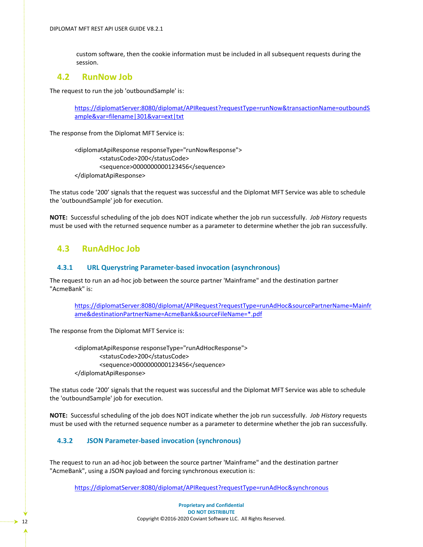custom software, then the cookie information must be included in all subsequent requests during the session.

### <span id="page-14-0"></span>**4.2 RunNow Job**

The request to run the job 'outboundSample' is:

[https://diplomatServer:8080/diplomat/APIRequest?requestType=runNow&transactionName=outboundS](https://diplomatserver:8080/diplomat/APIRequest?requestType=runNow&transactionName=outboundSample&var=filename|301&var=ext|txt) [ample&var=filename|301&var=ext|txt](https://diplomatserver:8080/diplomat/APIRequest?requestType=runNow&transactionName=outboundSample&var=filename|301&var=ext|txt)

The response from the Diplomat MFT Service is:

<diplomatApiResponse responseType="runNowResponse"> <statusCode>200</statusCode> <sequence>0000000000123456</sequence> </diplomatApiResponse>

The status code '200' signals that the request was successful and the Diplomat MFT Service was able to schedule the 'outboundSample' job for execution.

**NOTE:** Successful scheduling of the job does NOT indicate whether the job run successfully. *Job History* requests must be used with the returned sequence number as a parameter to determine whether the job ran successfully.

### <span id="page-14-1"></span>**4.3 RunAdHoc Job**

### <span id="page-14-2"></span>**4.3.1 URL Querystring Parameter-based invocation (asynchronous)**

The request to run an ad-hoc job between the source partner 'Mainframe" and the destination partner "AcmeBank" is:

[https://diplomatServer:8080/diplomat/APIRequest?requestType=runAdHoc&sourcePartnerName=Mainfr](https://diplomatserver:8080/diplomat/APIRequest?requestType=runAdHoc&sourcePartnerName=Mainframe&destinationPartnerName=AcmeBank&sourceFileName=*.pdf) [ame&destinationPartnerName=AcmeBank&sourceFileName=\\*.pdf](https://diplomatserver:8080/diplomat/APIRequest?requestType=runAdHoc&sourcePartnerName=Mainframe&destinationPartnerName=AcmeBank&sourceFileName=*.pdf)

The response from the Diplomat MFT Service is:

<diplomatApiResponse responseType="runAdHocResponse"> <statusCode>200</statusCode> <sequence>0000000000123456</sequence> </diplomatApiResponse>

The status code '200' signals that the request was successful and the Diplomat MFT Service was able to schedule the 'outboundSample' job for execution.

**NOTE:** Successful scheduling of the job does NOT indicate whether the job run successfully. *Job History* requests must be used with the returned sequence number as a parameter to determine whether the job ran successfully.

### <span id="page-14-3"></span>**4.3.2 JSON Parameter-based invocation (synchronous)**

The request to run an ad-hoc job between the source partner 'Mainframe" and the destination partner "AcmeBank", using a JSON payload and forcing synchronous execution is:

[https://diplomatServer:8080/diplomat/APIRequest?requestType=runAdHoc&synchronous](https://diplomatserver:8080/diplomat/APIRequest?requestType=runAdHoc&synchronous)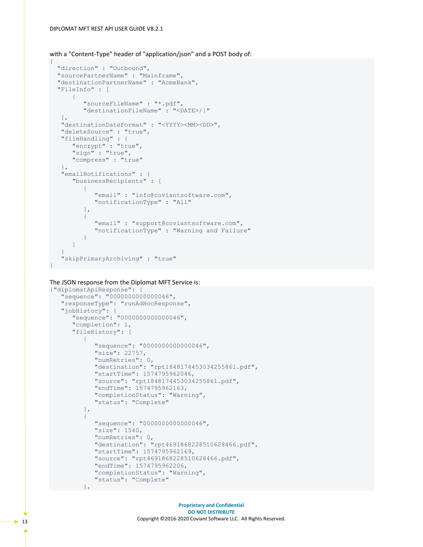```
with a "Content-Type" header of "application/json" and a POST body of:
```

```
{ 
 "direction" : "Outbound",
  "sourcePartnerName" : "Mainframe",
  "destinationPartnerName" : "AcmeBank",
  "FileInfo" : [
      {
         "sourceFileName" : "*.pdf",
         "destinationFileName" : "<DATE>/|"
  \frac{1}{2} "destinationDateFormat" : "<YYYY><MM><DD>",
   "deleteSource" : "true",
 "fileHandling" : {
 "encrypt" : "true",
 "sign" : "true",
      "compress" : "true"
   },
   "emailNotifications" : {
      "businessRecipients" : [
\{ "email" : "info@coviantsoftware.com",
            "notificationType" : "All"
         },
\{ "email" : "support@coviantsoftware.com",
            "notificationType" : "Warning and Failure"
 }
      ]
 }
   "skipPrimaryArchiving" : "true"
}
```
The JSON response from the Diplomat MFT Service is:

```
{"diplomatApiResponse": {
   "sequence": "0000000000000046",
   "responseType": "runAdHocResponse",
   "jobHistory": {
       "sequence": "0000000000000046",
       "completion": 1,
      "fileHistory": [
\{ "sequence": "0000000000000046",
             "size": 22757,
             "numRetries": 0,
             "destination": "rpt1848174453034255861.pdf",
             "startTime": 1574795962046,
             "source": "rpt1848174453034255861.pdf",
             "endTime": 1574795962163,
             "completionStatus": "Warning",
             "status": "Complete"
          },
\{ "sequence": "0000000000000046",
             "size": 1540,
             "numRetries": 0,
             "destination": "rpt4691868228510628466.pdf",
             "startTime": 1574795962169,
             "source": "rpt4691868228510628466.pdf",
             "endTime": 1574795962206,
             "completionStatus": "Warning",
             "status": "Complete"
```
#### },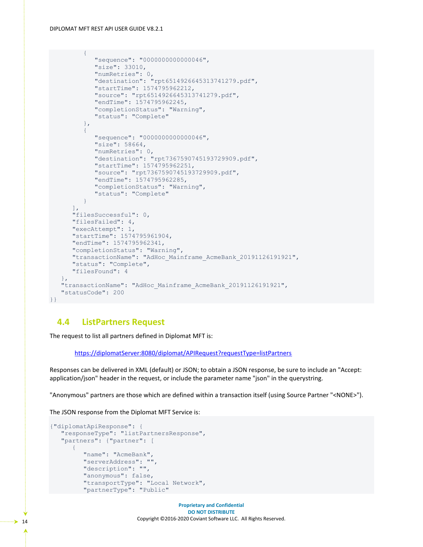```
\{ "sequence": "0000000000000046",
             "size": 33010,
             "numRetries": 0,
             "destination": "rpt6514926645313741279.pdf",
             "startTime": 1574795962212,
             "source": "rpt6514926645313741279.pdf",
             "endTime": 1574795962245,
             "completionStatus": "Warning",
             "status": "Complete"
          },
\{ "sequence": "0000000000000046",
             "size": 58664,
             "numRetries": 0,
             "destination": "rpt7367590745193729909.pdf",
             "startTime": 1574795962251,
             "source": "rpt7367590745193729909.pdf",
             "endTime": 1574795962285,
             "completionStatus": "Warning",
             "status": "Complete"
          }
      \frac{1}{\sqrt{2}} "filesSuccessful": 0,
       "filesFailed": 4,
       "execAttempt": 1,
       "startTime": 1574795961904,
       "endTime": 1574795962341,
       "completionStatus": "Warning",
       "transactionName": "AdHoc_Mainframe_AcmeBank_20191126191921",
       "status": "Complete",
       "filesFound": 4
    },
    "transactionName": "AdHoc_Mainframe_AcmeBank_20191126191921",
    "statusCode": 200
}}
```
### <span id="page-16-0"></span>**4.4 ListPartners Request**

The request to list all partners defined in Diplomat MFT is:

[https://diplomatServer:8080/diplomat/APIRequest?requestType=listPartners](https://diplomatserver:8080/diplomat/APIRequest?requestType=listPartners)

Responses can be delivered in XML (default) or JSON; to obtain a JSON response, be sure to include an "Accept: application/json" header in the request, or include the parameter name "json" in the querystring.

"Anonymous" partners are those which are defined within a transaction itself (using Source Partner "<NONE>").

The JSON response from the Diplomat MFT Service is:

```
{"diplomatApiResponse": {
   "responseType": "listPartnersResponse",
   "partners": {"partner": [
\{ "name": "AcmeBank",
          "serverAddress": "",
          "description": "",
          "anonymous": false,
         "transportType": "Local Network",
          "partnerType": "Public"
```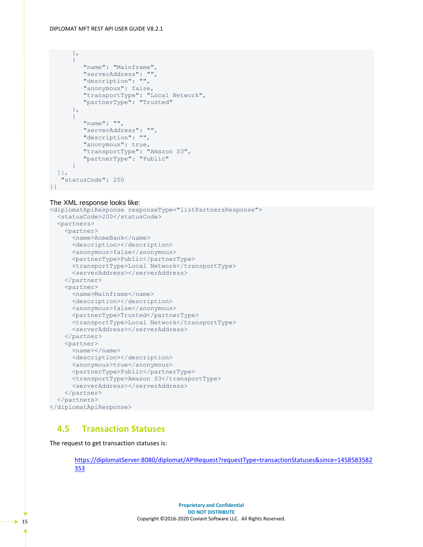#### DIPLOMAT MFT REST API USER GUIDE V8.2.1

```
 },
\{"name": "Mainframe",
          "serverAddress": "",
          "description": "",
          "anonymous": false,
          "transportType": "Local Network",
          "partnerType": "Trusted"
       },
       {
          "name": "",
          "serverAddress": "",
          "description": "",
          "anonymous": true,
          "transportType": "Amazon S3",
          "partnerType": "Public"
       }
   ]},
    "statusCode": 200
}}
```
#### The XML response looks like:

```
<diplomatApiResponse responseType="listPartnersResponse">
   <statusCode>200</statusCode>
   <partners>
    <partner>
       <name>AcmeBank</name>
      <description></description>
      <anonymous>false</anonymous>
      <partnerType>Public</partnerType>
       <transportType>Local Network</transportType>
      <serverAddress></serverAddress>
     </partner>
     <partner>
      <name>Mainframe</name>
      <description></description>
      <anonymous>false</anonymous>
      <partnerType>Trusted</partnerType>
      <transportType>Local Network</transportType>
      <serverAddress></serverAddress>
     </partner>
     <partner>
       <name></name>
      <description></description>
       <anonymous>true</anonymous>
       <partnerType>Public</partnerType>
       <transportType>Amazon S3</transportType>
      <serverAddress></serverAddress>
     </partner>
   </partners>
</diplomatApiResponse>
```
### <span id="page-17-0"></span>**4.5 Transaction Statuses**

The request to get transaction statuses is:

[https://diplomatServer:8080/diplomat/APIRequest?requestType=transactionStatuses&since=1458583582](https://diplomatserver:8080/diplomat/APIRequest?requestType=transactionStatuses&since=1458583582353) [353](https://diplomatserver:8080/diplomat/APIRequest?requestType=transactionStatuses&since=1458583582353)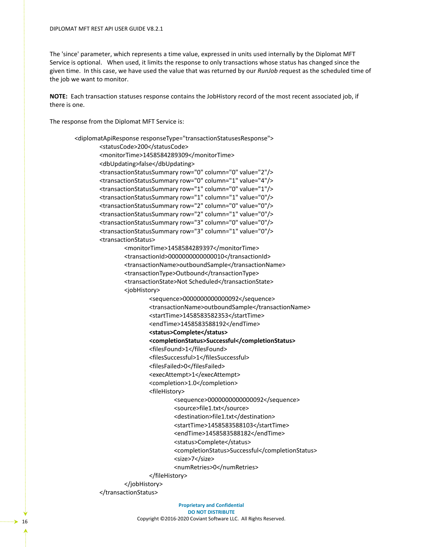The 'since' parameter, which represents a time value, expressed in units used internally by the Diplomat MFT Service is optional. When used, it limits the response to only transactions whose status has changed since the given time. In this case, we have used the value that was returned by our *RunJob r*equest as the scheduled time of the job we want to monitor.

**NOTE:** Each transaction statuses response contains the JobHistory record of the most recent associated job, if there is one.

The response from the Diplomat MFT Service is:

```
<diplomatApiResponse responseType="transactionStatusesResponse">
        <statusCode>200</statusCode>
         <monitorTime>1458584289309</monitorTime>
         <dbUpdating>false</dbUpdating>
         <transactionStatusSummary row="0" column="0" value="2"/>
         <transactionStatusSummary row="0" column="1" value="4"/>
         <transactionStatusSummary row="1" column="0" value="1"/>
         <transactionStatusSummary row="1" column="1" value="0"/>
         <transactionStatusSummary row="2" column="0" value="0"/>
         <transactionStatusSummary row="2" column="1" value="0"/>
         <transactionStatusSummary row="3" column="0" value="0"/>
         <transactionStatusSummary row="3" column="1" value="0"/>
         <transactionStatus>
                 <monitorTime>1458584289397</monitorTime>
                 <transactionId>0000000000000010</transactionId>
                 <transactionName>outboundSample</transactionName>
                 <transactionType>Outbound</transactionType>
                 <transactionState>Not Scheduled</transactionState>
                 <jobHistory>
                         <sequence>0000000000000092</sequence>
                         <transactionName>outboundSample</transactionName>
                         <startTime>1458583582353</startTime>
                         <endTime>1458583588192</endTime>
                         <status>Complete</status>
                         <completionStatus>Successful</completionStatus>
                         <filesFound>1</filesFound>
                         <filesSuccessful>1</filesSuccessful>
                         <filesFailed>0</filesFailed>
                        <execAttempt>1</execAttempt>
                         <completion>1.0</completion>
                         <fileHistory>
                                 <sequence>0000000000000092</sequence>
                                  <source>file1.txt</source>
                                  <destination>file1.txt</destination>
                                 <startTime>1458583588103</startTime>
                                  <endTime>1458583588182</endTime>
                                <status>Complete</status>
                                  <completionStatus>Successful</completionStatus>
                                  <size>7</size>
                                  <numRetries>0</numRetries>
                         </fileHistory>
                 </jobHistory>
         </transactionStatus>
```
**Proprietary and Confidential DO NOT DISTRIBUTE** Copyright ©2016-2020 Coviant Software LLC. All Rights Reserved. <sup>16</sup>

ò,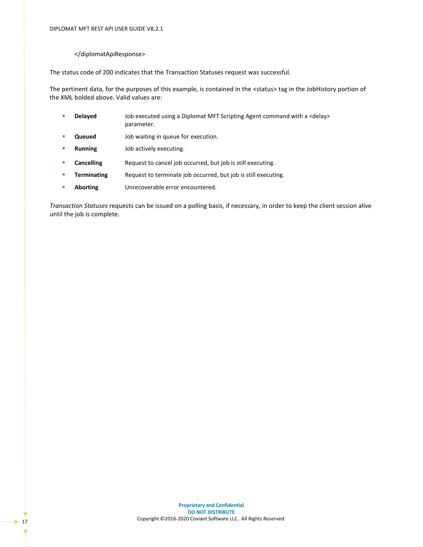#### </diplomatApiResponse>

The status code of 200 indicates that the Transaction Statuses request was successful.

The pertinent data, for the purposes of this example, is contained in the <status> tag in the JobHistory portion of the XML bolded above. Valid values are:

- **Delayed** Job executed using a Diplomat MFT Scripting Agent command with a <delay> parameter.
- **Queued** Job waiting in queue for execution.
- **Running** Job actively executing.
- **Cancelling** Request to cancel job occurred, but job is still executing.
- **Terminating** Request to terminate job occurred, but job is still executing.
- **Aborting** Unrecoverable error encountered.

*Transaction Statuses* requests can be issued on a polling basis, if necessary, in order to keep the client session alive until the job is complete.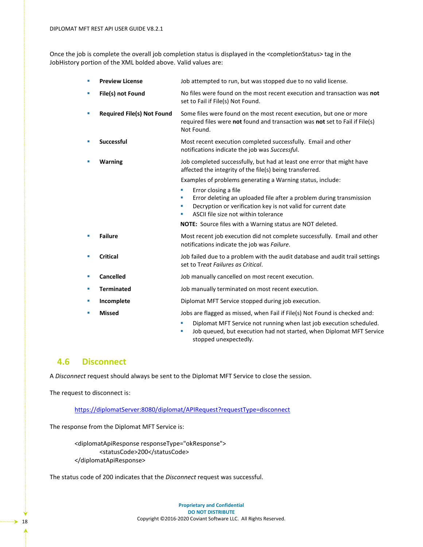Once the job is complete the overall job completion status is displayed in the <completionStatus> tag in the JobHistory portion of the XML bolded above. Valid values are:

| a, | <b>Preview License</b>            | Job attempted to run, but was stopped due to no valid license.                                                                                                                             |
|----|-----------------------------------|--------------------------------------------------------------------------------------------------------------------------------------------------------------------------------------------|
| ×  | File(s) not Found                 | No files were found on the most recent execution and transaction was not<br>set to Fail if File(s) Not Found.                                                                              |
| ×  | <b>Required File(s) Not Found</b> | Some files were found on the most recent execution, but one or more<br>required files were not found and transaction was not set to Fail if File(s)<br>Not Found.                          |
| ×  | <b>Successful</b>                 | Most recent execution completed successfully. Email and other<br>notifications indicate the job was Successful.                                                                            |
| ×  | <b>Warning</b>                    | Job completed successfully, but had at least one error that might have<br>affected the integrity of the file(s) being transferred.                                                         |
|    |                                   | Examples of problems generating a Warning status, include:                                                                                                                                 |
|    |                                   | Error closing a file<br>×                                                                                                                                                                  |
|    |                                   | Error deleting an uploaded file after a problem during transmission<br>×<br>Decryption or verification key is not valid for current date<br>ш<br>ASCII file size not within tolerance<br>ш |
|    |                                   | NOTE: Source files with a Warning status are NOT deleted.                                                                                                                                  |
| ٠  | <b>Failure</b>                    | Most recent job execution did not complete successfully. Email and other<br>notifications indicate the job was Failure.                                                                    |
| ×  | <b>Critical</b>                   | Job failed due to a problem with the audit database and audit trail settings<br>set to Treat Failures as Critical.                                                                         |
| a, | Cancelled                         | Job manually cancelled on most recent execution.                                                                                                                                           |
| ш  | <b>Terminated</b>                 | Job manually terminated on most recent execution.                                                                                                                                          |
| ٠  | Incomplete                        | Diplomat MFT Service stopped during job execution.                                                                                                                                         |
| ×  | <b>Missed</b>                     | Jobs are flagged as missed, when Fail if File(s) Not Found is checked and:                                                                                                                 |
|    |                                   | Diplomat MFT Service not running when last job execution scheduled.<br>the late of the state of the state of the state of the state of the late of MET Candi                               |

Job queued, but execution had not started, when Diplomat MFT Service stopped unexpectedly.

### <span id="page-20-0"></span>**4.6 Disconnect**

A *Disconnect* request should always be sent to the Diplomat MFT Service to close the session.

The request to disconnect is:

[https://diplomatServer:8080/diplomat/APIRequest?requestType=disconnect](https://diplomatserver:8080/diplomat/APIRequest?requestType=disconnect)

The response from the Diplomat MFT Service is:

<diplomatApiResponse responseType="okResponse"> <statusCode>200</statusCode> </diplomatApiResponse>

The status code of 200 indicates that the *Disconnect* request was successful.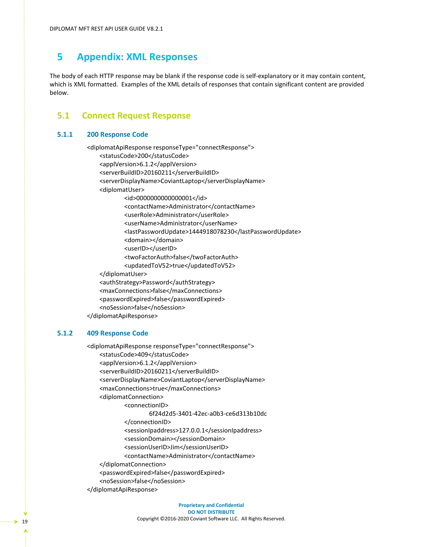## <span id="page-21-0"></span>**5 Appendix: XML Responses**

The body of each HTTP response may be blank if the response code is self-explanatory or it may contain content, which is XML formatted. Examples of the XML details of responses that contain significant content are provided below.

### <span id="page-21-1"></span>**5.1 Connect Request Response**

#### <span id="page-21-2"></span>**5.1.1 200 Response Code**

<diplomatApiResponse responseType="connectResponse"> <statusCode>200</statusCode> <applVersion>6.1.2</applVersion> <serverBuildID>20160211</serverBuildID> <serverDisplayName>CoviantLaptop</serverDisplayName> <diplomatUser> <id>0000000000000001</id> <contactName>Administrator</contactName> <userRole>Administrator</userRole> <userName>Administrator</userName> <lastPasswordUpdate>1444918078230</lastPasswordUpdate> <domain></domain> <userID></userID> <twoFactorAuth>false</twoFactorAuth> <updatedToV52>true</updatedToV52> </diplomatUser>

<authStrategy>Password</authStrategy>

<maxConnections>false</maxConnections>

<passwordExpired>false</passwordExpired>

<noSession>false</noSession>

</diplomatApiResponse>

### <span id="page-21-3"></span>**5.1.2 409 Response Code**

<diplomatApiResponse responseType="connectResponse"> <statusCode>409</statusCode> <applVersion>6.1.2</applVersion> <serverBuildID>20160211</serverBuildID> <serverDisplayName>CoviantLaptop</serverDisplayName> <maxConnections>true</maxConnections> <diplomatConnection> <connectionID> 6f24d2d5-3401-42ec-a0b3-ce6d313b10dc </connectionID> <sessionIpaddress>127.0.0.1</sessionIpaddress> <sessionDomain></sessionDomain> <sessionUserID>Jim</sessionUserID> <contactName>Administrator</contactName> </diplomatConnection> <passwordExpired>false</passwordExpired> <noSession>false</noSession> </diplomatApiResponse>

Ą,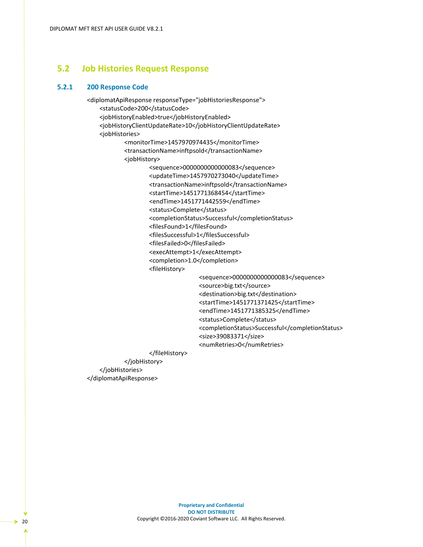### <span id="page-22-0"></span>**5.2 Job Histories Request Response**

### <span id="page-22-1"></span>**5.2.1 200 Response Code**

<diplomatApiResponse responseType="jobHistoriesResponse"> <statusCode>200</statusCode> <jobHistoryEnabled>true</jobHistoryEnabled> <jobHistoryClientUpdateRate>10</jobHistoryClientUpdateRate> <jobHistories> <monitorTime>1457970974435</monitorTime> <transactionName>inftpsold</transactionName> <jobHistory> <sequence>0000000000000083</sequence> <updateTime>1457970273040</updateTime> <transactionName>inftpsold</transactionName> <startTime>1451771368454</startTime> <endTime>1451771442559</endTime> <status>Complete</status> <completionStatus>Successful</completionStatus> <filesFound>1</filesFound> <filesSuccessful>1</filesSuccessful> <filesFailed>0</filesFailed> <execAttempt>1</execAttempt> <completion>1.0</completion> <fileHistory> <sequence>0000000000000083</sequence> <source>big.txt</source> <destination>big.txt</destination> <startTime>1451771371425</startTime> <endTime>1451771385325</endTime> <status>Complete</status> <completionStatus>Successful</completionStatus> <size>39083371</size>

<numRetries>0</numRetries>

 </fileHistory> </jobHistory>

 </jobHistories> </diplomatApiResponse>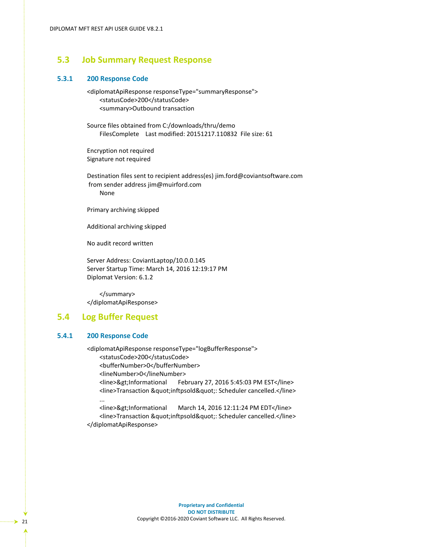### <span id="page-23-0"></span>**5.3 Job Summary Request Response**

#### <span id="page-23-1"></span>**5.3.1 200 Response Code**

<diplomatApiResponse responseType="summaryResponse"> <statusCode>200</statusCode> <summary>Outbound transaction

Source files obtained from C:/downloads/thru/demo FilesComplete Last modified: 20151217.110832 File size: 61

Encryption not required Signature not required

Destination files sent to recipient address(es) jim.ford@coviantsoftware.com from sender address jim@muirford.com None

Primary archiving skipped

Additional archiving skipped

No audit record written

Server Address: CoviantLaptop/10.0.0.145 Server Startup Time: March 14, 2016 12:19:17 PM Diplomat Version: 6.1.2

</summary> </diplomatApiResponse>

### <span id="page-23-2"></span>**5.4 Log Buffer Request**

### <span id="page-23-3"></span>**5.4.1 200 Response Code**

<diplomatApiResponse responseType="logBufferResponse"> <statusCode>200</statusCode> <bufferNumber>0</bufferNumber> <lineNumber>0</lineNumber> <line>&gt;Informational February 27, 2016 5:45:03 PM EST</line> <line>Transaction &quot;inftpsold&quot;: Scheduler cancelled.</line> ...

<line>&gt;Informational March 14, 2016 12:11:24 PM EDT</line> <line>Transaction &quot;inftpsold&quot;: Scheduler cancelled.</line> </diplomatApiResponse>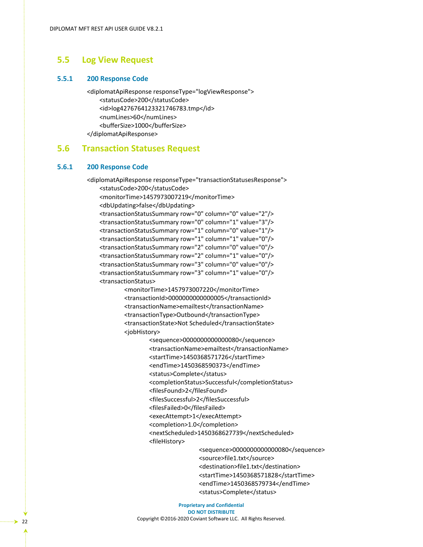### <span id="page-24-0"></span>**5.5 Log View Request**

#### <span id="page-24-1"></span>**5.5.1 200 Response Code**

<diplomatApiResponse responseType="logViewResponse"> <statusCode>200</statusCode> <id>log4276764123321746783.tmp</id> <numLines>60</numLines> <bufferSize>1000</bufferSize> </diplomatApiResponse>

### <span id="page-24-2"></span>**5.6 Transaction Statuses Request**

### <span id="page-24-3"></span>**5.6.1 200 Response Code**

<diplomatApiResponse responseType="transactionStatusesResponse"> <statusCode>200</statusCode> <monitorTime>1457973007219</monitorTime> <dbUpdating>false</dbUpdating> <transactionStatusSummary row="0" column="0" value="2"/> <transactionStatusSummary row="0" column="1" value="3"/> <transactionStatusSummary row="1" column="0" value="1"/> <transactionStatusSummary row="1" column="1" value="0"/> <transactionStatusSummary row="2" column="0" value="0"/> <transactionStatusSummary row="2" column="1" value="0"/> <transactionStatusSummary row="3" column="0" value="0"/> <transactionStatusSummary row="3" column="1" value="0"/> <transactionStatus>

> <monitorTime>1457973007220</monitorTime> <transactionId>0000000000000005</transactionId> <transactionName>emailtest</transactionName> <transactionType>Outbound</transactionType> <transactionState>Not Scheduled</transactionState> <jobHistory>

> > <sequence>0000000000000080</sequence> <transactionName>emailtest</transactionName> <startTime>1450368571726</startTime> <endTime>1450368590373</endTime> <status>Complete</status> <completionStatus>Successful</completionStatus> <filesFound>2</filesFound> <filesSuccessful>2</filesSuccessful> <filesFailed>0</filesFailed> <execAttempt>1</execAttempt> <completion>1.0</completion> <nextScheduled>1450368627739</nextScheduled> <fileHistory>

> > > <sequence>0000000000000080</sequence> <source>file1.txt</source> <destination>file1.txt</destination> <startTime>1450368571828</startTime> <endTime>1450368579734</endTime> <status>Complete</status>

**Proprietary and Confidential DO NOT DISTRIBUTE** Copyright ©2016-2020 Coviant Software LLC. All Rights Reserved. <sup>22</sup>